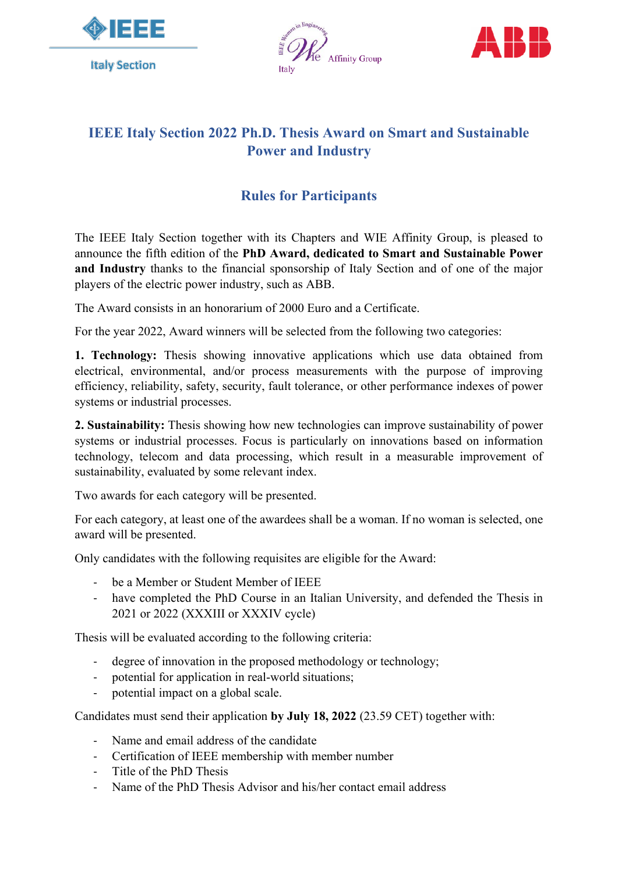





## **IEEE Italy Section 2022 Ph.D. Thesis Award on Smart and Sustainable Power and Industry**

## **Rules for Participants**

The IEEE Italy Section together with its Chapters and WIE Affinity Group, is pleased to announce the fifth edition of the **PhD Award, dedicated to Smart and Sustainable Power and Industry** thanks to the financial sponsorship of Italy Section and of one of the major players of the electric power industry, such as ABB.

The Award consists in an honorarium of 2000 Euro and a Certificate.

For the year 2022, Award winners will be selected from the following two categories:

**1. Technology:** Thesis showing innovative applications which use data obtained from electrical, environmental, and/or process measurements with the purpose of improving efficiency, reliability, safety, security, fault tolerance, or other performance indexes of power systems or industrial processes.

**2. Sustainability:** Thesis showing how new technologies can improve sustainability of power systems or industrial processes. Focus is particularly on innovations based on information technology, telecom and data processing, which result in a measurable improvement of sustainability, evaluated by some relevant index.

Two awards for each category will be presented.

For each category, at least one of the awardees shall be a woman. If no woman is selected, one award will be presented.

Only candidates with the following requisites are eligible for the Award:

- be a Member or Student Member of IEEE
- have completed the PhD Course in an Italian University, and defended the Thesis in 2021 or 2022 (XXXIII or XXXIV cycle)

Thesis will be evaluated according to the following criteria:

- degree of innovation in the proposed methodology or technology;
- potential for application in real-world situations;
- potential impact on a global scale.

Candidates must send their application **by July 18, 2022** (23.59 CET) together with:

- Name and email address of the candidate
- Certification of IEEE membership with member number
- Title of the PhD Thesis
- Name of the PhD Thesis Advisor and his/her contact email address